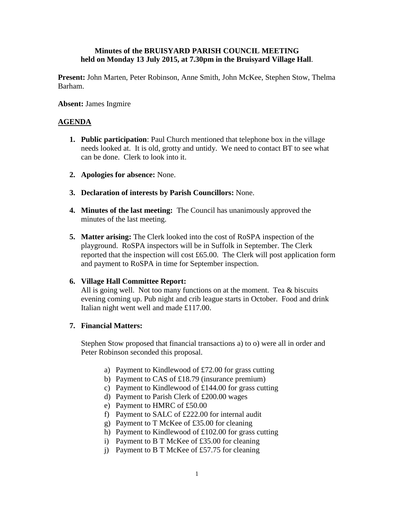# **Minutes of the BRUISYARD PARISH COUNCIL MEETING held on Monday 13 July 2015, at 7.30pm in the Bruisyard Village Hall**.

**Present:** John Marten, Peter Robinson, Anne Smith, John McKee, Stephen Stow, Thelma Barham.

### **Absent:** James Ingmire

# **AGENDA**

- **1. Public participation**: Paul Church mentioned that telephone box in the village needs looked at. It is old, grotty and untidy. We need to contact BT to see what can be done. Clerk to look into it.
- **2. Apologies for absence:** None.
- **3. Declaration of interests by Parish Councillors:** None.
- **4. Minutes of the last meeting:** The Council has unanimously approved the minutes of the last meeting.
- **5. Matter arising:** The Clerk looked into the cost of RoSPA inspection of the playground. RoSPA inspectors will be in Suffolk in September. The Clerk reported that the inspection will cost £65.00. The Clerk will post application form and payment to RoSPA in time for September inspection.

### **6. Village Hall Committee Report:**

All is going well. Not too many functions on at the moment. Tea & biscuits evening coming up. Pub night and crib league starts in October. Food and drink Italian night went well and made £117.00.

### **7. Financial Matters:**

Stephen Stow proposed that financial transactions a) to o) were all in order and Peter Robinson seconded this proposal.

- a) Payment to Kindlewood of £72.00 for grass cutting
- b) Payment to CAS of £18.79 (insurance premium)
- c) Payment to Kindlewood of £144.00 for grass cutting
- d) Payment to Parish Clerk of £200.00 wages
- e) Payment to HMRC of £50.00
- f) Payment to SALC of £222.00 for internal audit
- g) Payment to T McKee of £35.00 for cleaning
- h) Payment to Kindlewood of £102.00 for grass cutting
- i) Payment to B T McKee of £35.00 for cleaning
- j) Payment to B T McKee of £57.75 for cleaning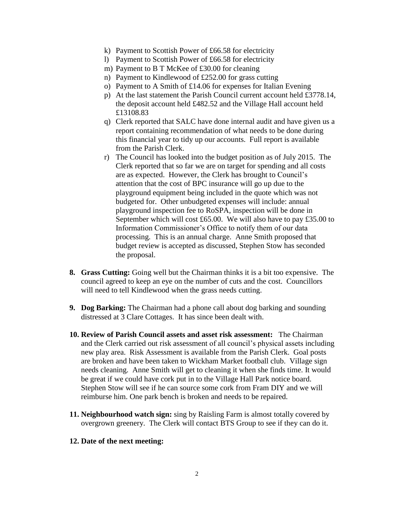- k) Payment to Scottish Power of £66.58 for electricity
- l) Payment to Scottish Power of £66.58 for electricity
- m) Payment to B T McKee of £30.00 for cleaning
- n) Payment to Kindlewood of £252.00 for grass cutting
- o) Payment to A Smith of £14.06 for expenses for Italian Evening
- p) At the last statement the Parish Council current account held £3778.14, the deposit account held £482.52 and the Village Hall account held £13108.83
- q) Clerk reported that SALC have done internal audit and have given us a report containing recommendation of what needs to be done during this financial year to tidy up our accounts. Full report is available from the Parish Clerk.
- r) The Council has looked into the budget position as of July 2015. The Clerk reported that so far we are on target for spending and all costs are as expected. However, the Clerk has brought to Council's attention that the cost of BPC insurance will go up due to the playground equipment being included in the quote which was not budgeted for. Other unbudgeted expenses will include: annual playground inspection fee to RoSPA, inspection will be done in September which will cost £65.00. We will also have to pay £35.00 to Information Commissioner's Office to notify them of our data processing. This is an annual charge. Anne Smith proposed that budget review is accepted as discussed, Stephen Stow has seconded the proposal.
- **8. Grass Cutting:** Going well but the Chairman thinks it is a bit too expensive. The council agreed to keep an eye on the number of cuts and the cost. Councillors will need to tell Kindlewood when the grass needs cutting.
- **9. Dog Barking:** The Chairman had a phone call about dog barking and sounding distressed at 3 Clare Cottages. It has since been dealt with.
- **10. Review of Parish Council assets and asset risk assessment:** The Chairman and the Clerk carried out risk assessment of all council's physical assets including new play area. Risk Assessment is available from the Parish Clerk. Goal posts are broken and have been taken to Wickham Market football club. Village sign needs cleaning. Anne Smith will get to cleaning it when she finds time. It would be great if we could have cork put in to the Village Hall Park notice board. Stephen Stow will see if he can source some cork from Fram DIY and we will reimburse him. One park bench is broken and needs to be repaired.
- **11. Neighbourhood watch sign:** sing by Raisling Farm is almost totally covered by overgrown greenery. The Clerk will contact BTS Group to see if they can do it.
- **12. Date of the next meeting:**